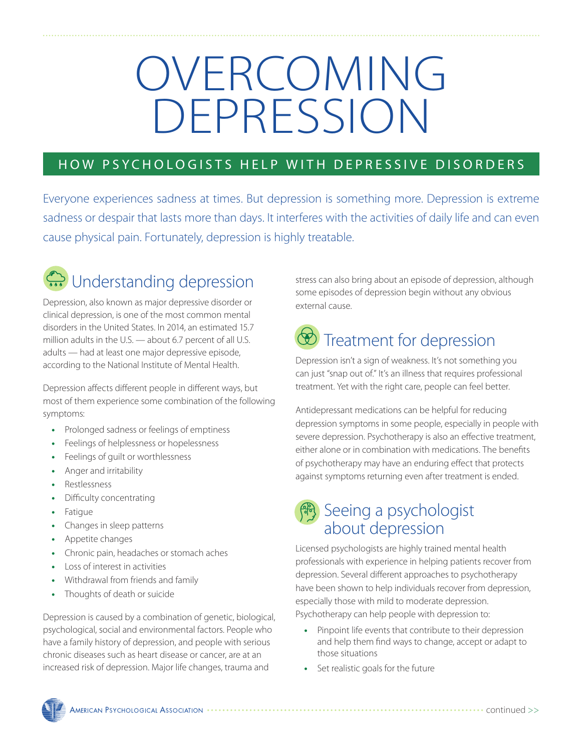# OVERCOMING DEPRESSION

#### HOW PSYCHOLOGISTS HELP WITH DEPRESSIVE DISORDERS

Everyone experiences sadness at times. But depression is something more. Depression is extreme sadness or despair that lasts more than days. It interferes with the activities of daily life and can even cause physical pain. Fortunately, depression is highly treatable.



Depression, also known as major depressive disorder or clinical depression, is one of the most common mental disorders in the United States. In 2014, an estimated 15.7 million adults in the U.S. — about 6.7 percent of all U.S. adults — had at least one major depressive episode, according to the National Institute of Mental Health.

Depression affects different people in different ways, but most of them experience some combination of the following symptoms:

- **•** Prolonged sadness or feelings of emptiness
- **•** Feelings of helplessness or hopelessness
- **•** Feelings of guilt or worthlessness
- **•** Anger and irritability
- **•** Restlessness
- **•** Difficulty concentrating
- **•** Fatigue
- **•** Changes in sleep patterns
- **•** Appetite changes
- **•** Chronic pain, headaches or stomach aches
- **•** Loss of interest in activities
- **•** Withdrawal from friends and family
- **•** Thoughts of death or suicide

Depression is caused by a combination of genetic, biological, psychological, social and environmental factors. People who have a family history of depression, and people with serious chronic diseases such as heart disease or cancer, are at an increased risk of depression. Major life changes, trauma and

stress can also bring about an episode of depression, although some episodes of depression begin without any obvious external cause.

## **D** Treatment for depression

Depression isn't a sign of weakness. It's not something you can just "snap out of." It's an illness that requires professional treatment. Yet with the right care, people can feel better.

Antidepressant medications can be helpful for reducing depression symptoms in some people, especially in people with severe depression. Psychotherapy is also an effective treatment, either alone or in combination with medications. The benefits of psychotherapy may have an enduring effect that protects against symptoms returning even after treatment is ended.

### 传 Seeing a psychologist about depression

Licensed psychologists are highly trained mental health professionals with experience in helping patients recover from depression. Several different approaches to psychotherapy have been shown to help individuals recover from depression, especially those with mild to moderate depression. Psychotherapy can help people with depression to:

- **•** Pinpoint life events that contribute to their depression and help them find ways to change, accept or adapt to those situations
- **•** Set realistic goals for the future